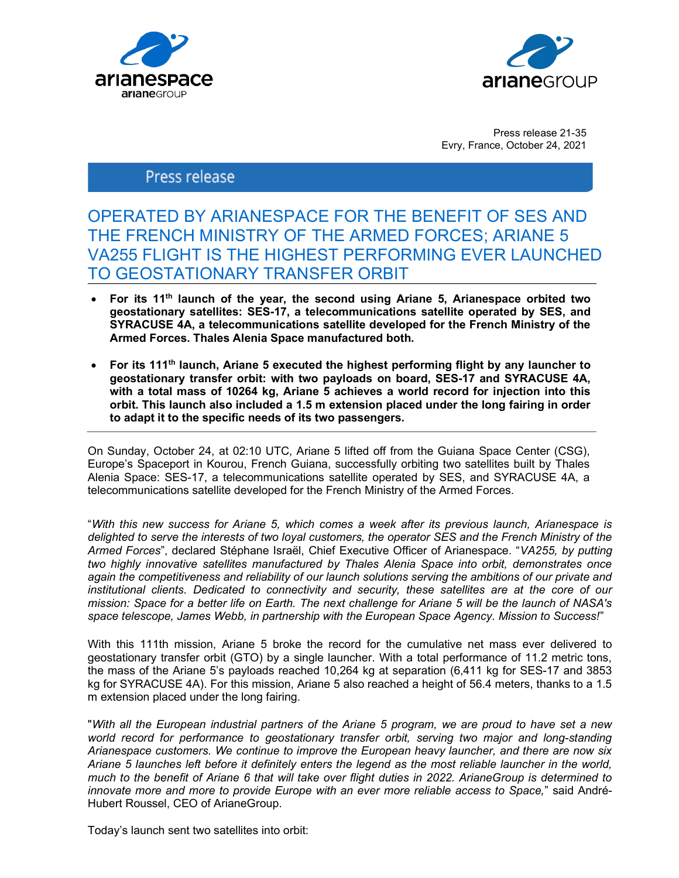



Press release 21-35 Evry, France, October 24, 2021

# Press release

# OPERATED BY ARIANESPACE FOR THE BENEFIT OF SES AND THE FRENCH MINISTRY OF THE ARMED FORCES; ARIANE 5 VA255 FLIGHT IS THE HIGHEST PERFORMING EVER LAUNCHED TO GEOSTATIONARY TRANSFER ORBIT

- For its 11<sup>th</sup> launch of the year, the second using Ariane 5, Arianespace orbited two geostationary satellites: SES-17, a telecommunications satellite operated by SES, and SYRACUSE 4A, a telecommunications satellite developed for the French Ministry of the Armed Forces. Thales Alenia Space manufactured both.
- For its 111<sup>th</sup> launch, Ariane 5 executed the highest performing flight by any launcher to geostationary transfer orbit: with two payloads on board, SES-17 and SYRACUSE 4A, with a total mass of 10264 kg, Ariane 5 achieves a world record for injection into this orbit. This launch also included a 1.5 m extension placed under the long fairing in order to adapt it to the specific needs of its two passengers.

On Sunday, October 24, at 02:10 UTC, Ariane 5 lifted off from the Guiana Space Center (CSG), Europe's Spaceport in Kourou, French Guiana, successfully orbiting two satellites built by Thales Alenia Space: SES-17, a telecommunications satellite operated by SES, and SYRACUSE 4A, a telecommunications satellite developed for the French Ministry of the Armed Forces.

"With this new success for Ariane 5, which comes a week after its previous launch, Arianespace is delighted to serve the interests of two loyal customers, the operator SES and the French Ministry of the Armed Forces", declared Stéphane Israël, Chief Executive Officer of Arianespace. "VA255, by putting two highly innovative satellites manufactured by Thales Alenia Space into orbit, demonstrates once again the competitiveness and reliability of our launch solutions serving the ambitions of our private and institutional clients. Dedicated to connectivity and security, these satellites are at the core of our mission: Space for a better life on Earth. The next challenge for Ariane 5 will be the launch of NASA's space telescope, James Webb, in partnership with the European Space Agency. Mission to Success!"

With this 111th mission, Ariane 5 broke the record for the cumulative net mass ever delivered to geostationary transfer orbit (GTO) by a single launcher. With a total performance of 11.2 metric tons, the mass of the Ariane 5's payloads reached 10,264 kg at separation (6,411 kg for SES-17 and 3853 kg for SYRACUSE 4A). For this mission, Ariane 5 also reached a height of 56.4 meters, thanks to a 1.5 m extension placed under the long fairing.

"With all the European industrial partners of the Ariane 5 program, we are proud to have set a new world record for performance to geostationary transfer orbit, serving two major and long-standing Arianespace customers. We continue to improve the European heavy launcher, and there are now six Ariane 5 launches left before it definitely enters the legend as the most reliable launcher in the world, much to the benefit of Ariane 6 that will take over flight duties in 2022. ArianeGroup is determined to innovate more and more to provide Europe with an ever more reliable access to Space," said André-Hubert Roussel, CEO of ArianeGroup.

Today's launch sent two satellites into orbit: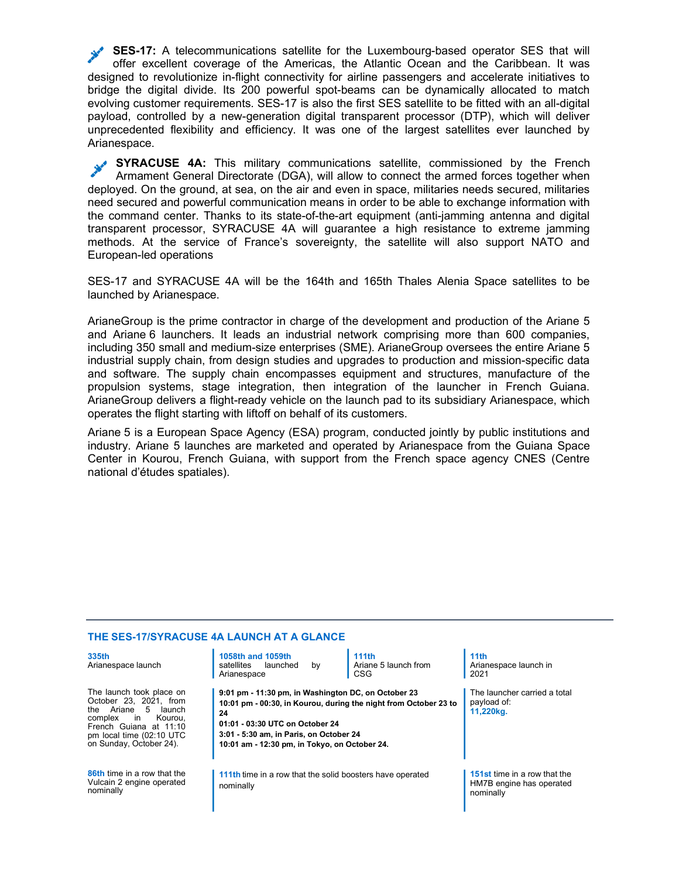SES-17: A telecommunications satellite for the Luxembourg-based operator SES that will offer excellent coverage of the Americas, the Atlantic Ocean and the Caribbean. It was designed to revolutionize in-flight connectivity for airline passengers and accelerate initiatives to bridge the digital divide. Its 200 powerful spot-beams can be dynamically allocated to match evolving customer requirements. SES-17 is also the first SES satellite to be fitted with an all-digital payload, controlled by a new-generation digital transparent processor (DTP), which will deliver unprecedented flexibility and efficiency. It was one of the largest satellites ever launched by Arianespace.

SYRACUSE 4A: This military communications satellite, commissioned by the French Armament General Directorate (DGA), will allow to connect the armed forces together when deployed. On the ground, at sea, on the air and even in space, militaries needs secured, militaries need secured and powerful communication means in order to be able to exchange information with the command center. Thanks to its state-of-the-art equipment (anti-jamming antenna and digital transparent processor, SYRACUSE 4A will guarantee a high resistance to extreme jamming methods. At the service of France's sovereignty, the satellite will also support NATO and European-led operations

SES-17 and SYRACUSE 4A will be the 164th and 165th Thales Alenia Space satellites to be launched by Arianespace.

ArianeGroup is the prime contractor in charge of the development and production of the Ariane 5 and Ariane 6 launchers. It leads an industrial network comprising more than 600 companies, including 350 small and medium-size enterprises (SME). ArianeGroup oversees the entire Ariane 5 industrial supply chain, from design studies and upgrades to production and mission-specific data and software. The supply chain encompasses equipment and structures, manufacture of the propulsion systems, stage integration, then integration of the launcher in French Guiana. ArianeGroup delivers a flight-ready vehicle on the launch pad to its subsidiary Arianespace, which operates the flight starting with liftoff on behalf of its customers.

Ariane 5 is a European Space Agency (ESA) program, conducted jointly by public institutions and industry. Ariane 5 launches are marketed and operated by Arianespace from the Guiana Space Center in Kourou, French Guiana, with support from the French space agency CNES (Centre national d'études spatiales).

## THE SES-17/SYRACUSE 4A LAUNCH AT A GLANCE

| 335th<br>Arianespace launch                                                                                                                                                                                 | 1058th and 1059th<br>satellites<br>launched<br>by<br>Arianespace                                                                                                                                                                                             | 111th<br>Ariane 5 launch from<br><b>CSG</b> | 11 <sub>th</sub><br>Arianespace launch in<br>2021                     |
|-------------------------------------------------------------------------------------------------------------------------------------------------------------------------------------------------------------|--------------------------------------------------------------------------------------------------------------------------------------------------------------------------------------------------------------------------------------------------------------|---------------------------------------------|-----------------------------------------------------------------------|
| The launch took place on<br>October 23, 2021, from<br>Ariane<br>.5<br>the<br>launch<br>complex<br>Kourou.<br><sub>in</sub><br>French Guiana at 11:10<br>pm local time (02:10 UTC<br>on Sunday, October 24). | 9:01 pm - 11:30 pm, in Washington DC, on October 23<br>10:01 pm - 00:30, in Kourou, during the night from October 23 to<br>24<br>01:01 - 03:30 UTC on October 24<br>3:01 - 5:30 am, in Paris, on October 24<br>10:01 am - 12:30 pm, in Tokyo, on October 24. |                                             | The launcher carried a total<br>payload of:<br>11,220kg.              |
| <b>86th</b> time in a row that the<br>Vulcain 2 engine operated<br>nominally                                                                                                                                | 111th time in a row that the solid boosters have operated<br>nominally                                                                                                                                                                                       |                                             | 151st time in a row that the<br>HM7B engine has operated<br>nominally |